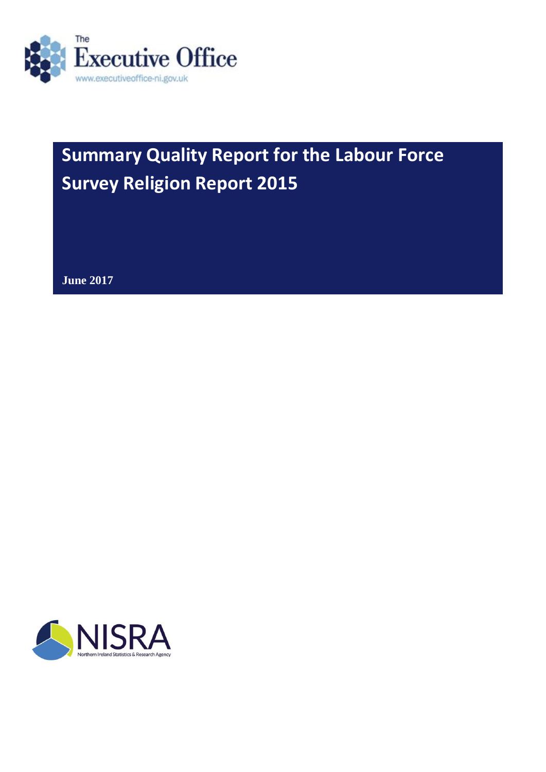

# **Summary Quality Report for the Labour Force Survey Religion Report 2015**

**June 2017**

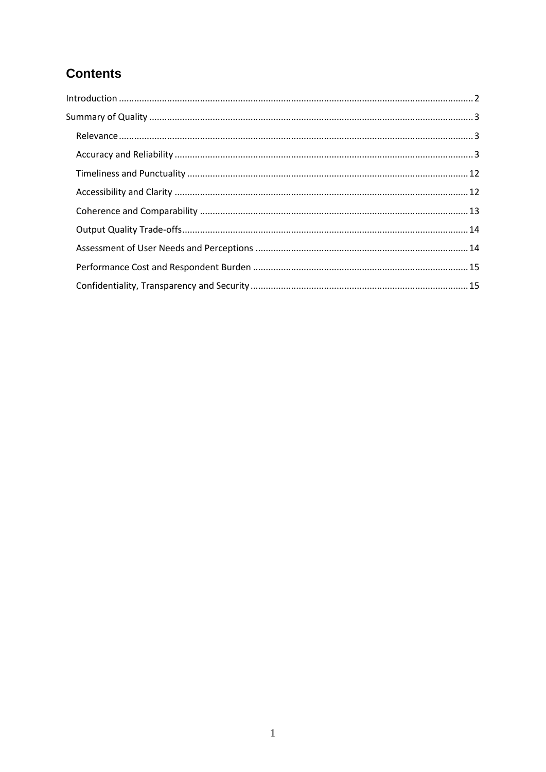# **Contents**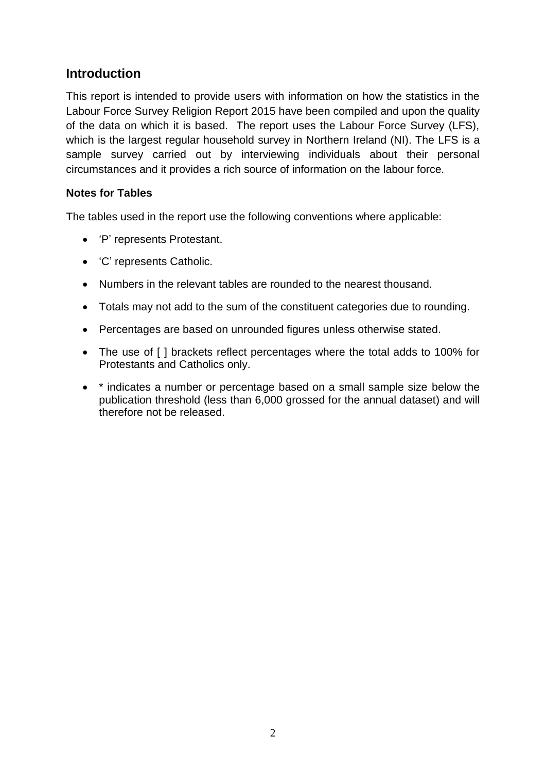# <span id="page-2-0"></span>**Introduction**

This report is intended to provide users with information on how the statistics in the Labour Force Survey Religion Report 2015 have been compiled and upon the quality of the data on which it is based. The report uses the Labour Force Survey (LFS), which is the largest regular household survey in Northern Ireland (NI). The LFS is a sample survey carried out by interviewing individuals about their personal circumstances and it provides a rich source of information on the labour force.

#### **Notes for Tables**

The tables used in the report use the following conventions where applicable:

- 'P' represents Protestant.
- 'C' represents Catholic.
- Numbers in the relevant tables are rounded to the nearest thousand.
- Totals may not add to the sum of the constituent categories due to rounding.
- Percentages are based on unrounded figures unless otherwise stated.
- The use of [ ] brackets reflect percentages where the total adds to 100% for Protestants and Catholics only.
- \* indicates a number or percentage based on a small sample size below the publication threshold (less than 6,000 grossed for the annual dataset) and will therefore not be released.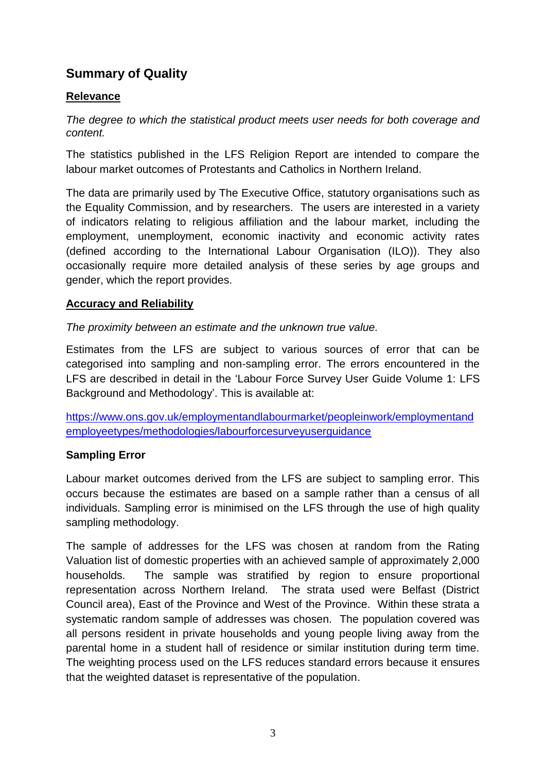# <span id="page-3-0"></span>**Summary of Quality**

## <span id="page-3-1"></span>**Relevance**

*The degree to which the statistical product meets user needs for both coverage and content.*

The statistics published in the LFS Religion Report are intended to compare the labour market outcomes of Protestants and Catholics in Northern Ireland.

The data are primarily used by The Executive Office, statutory organisations such as the Equality Commission, and by researchers. The users are interested in a variety of indicators relating to religious affiliation and the labour market, including the employment, unemployment, economic inactivity and economic activity rates (defined according to the International Labour Organisation (ILO)). They also occasionally require more detailed analysis of these series by age groups and gender, which the report provides.

### <span id="page-3-2"></span>**Accuracy and Reliability**

*The proximity between an estimate and the unknown true value.*

Estimates from the LFS are subject to various sources of error that can be categorised into sampling and non-sampling error. The errors encountered in the LFS are described in detail in the 'Labour Force Survey User Guide Volume 1: LFS Background and Methodology'. This is available at:

[https://www.ons.gov.uk/employmentandlabourmarket/peopleinwork/employmentand](https://www.ons.gov.uk/employmentandlabourmarket/peopleinwork/employmentandemployeetypes/methodologies/labourforcesurveyuserguidance) [employeetypes/methodologies/labourforcesurveyuserguidance](https://www.ons.gov.uk/employmentandlabourmarket/peopleinwork/employmentandemployeetypes/methodologies/labourforcesurveyuserguidance)

## **Sampling Error**

Labour market outcomes derived from the LFS are subject to sampling error. This occurs because the estimates are based on a sample rather than a census of all individuals. Sampling error is minimised on the LFS through the use of high quality sampling methodology.

The sample of addresses for the LFS was chosen at random from the Rating Valuation list of domestic properties with an achieved sample of approximately 2,000 households. The sample was stratified by region to ensure proportional representation across Northern Ireland. The strata used were Belfast (District Council area), East of the Province and West of the Province. Within these strata a systematic random sample of addresses was chosen. The population covered was all persons resident in private households and young people living away from the parental home in a student hall of residence or similar institution during term time. The weighting process used on the LFS reduces standard errors because it ensures that the weighted dataset is representative of the population.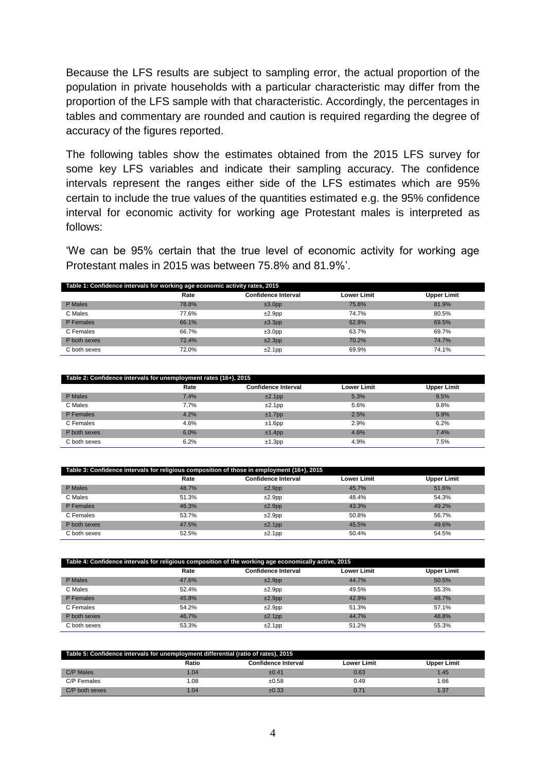Because the LFS results are subject to sampling error, the actual proportion of the population in private households with a particular characteristic may differ from the proportion of the LFS sample with that characteristic. Accordingly, the percentages in tables and commentary are rounded and caution is required regarding the degree of accuracy of the figures reported.

The following tables show the estimates obtained from the 2015 LFS survey for some key LFS variables and indicate their sampling accuracy. The confidence intervals represent the ranges either side of the LFS estimates which are 95% certain to include the true values of the quantities estimated e.g. the 95% confidence interval for economic activity for working age Protestant males is interpreted as follows:

'We can be 95% certain that the true level of economic activity for working age Protestant males in 2015 was between 75.8% and 81.9%'.

| Table 1: Confidence intervals for working age economic activity rates, 2015 |       |                            |                    |                    |  |  |  |
|-----------------------------------------------------------------------------|-------|----------------------------|--------------------|--------------------|--|--|--|
|                                                                             | Rate  | <b>Confidence Interval</b> | <b>Lower Limit</b> | <b>Upper Limit</b> |  |  |  |
| P Males                                                                     | 78.8% | ±3.0pp                     | 75.8%              | 81.9%              |  |  |  |
| C Males                                                                     | 77.6% | $±2.9$ pp                  | 74.7%              | 80.5%              |  |  |  |
| P Females                                                                   | 66.1% | ±3.3pp                     | 62.8%              | 69.5%              |  |  |  |
| C Females                                                                   | 66.7% | ±3.0pp                     | 63.7%              | 69.7%              |  |  |  |
| P both sexes                                                                | 72.4% | ±2.3pp                     | 70.2%              | 74.7%              |  |  |  |
| C both sexes                                                                | 72.0% | ±2.1pp                     | 69.9%              | 74.1%              |  |  |  |

| Table 2: Confidence intervals for unemployment rates (16+), 2015 |      |                            |                    |                    |  |  |
|------------------------------------------------------------------|------|----------------------------|--------------------|--------------------|--|--|
|                                                                  | Rate | <b>Confidence Interval</b> | <b>Lower Limit</b> | <b>Upper Limit</b> |  |  |
| P Males                                                          | 7.4% | $±2.1$ pp                  | 5.3%               | 9.5%               |  |  |
| C Males                                                          | 7.7% | ±2.1pp                     | 5.6%               | 9.8%               |  |  |
| P Females                                                        | 4.2% | $±1.7$ pp                  | 2.5%               | 5.9%               |  |  |
| C Females                                                        | 4.6% | $±1.6$ pp                  | 2.9%               | 6.2%               |  |  |
| P both sexes                                                     | 6.0% | ±1.4pp                     | 4.6%               | 7.4%               |  |  |
| C both sexes                                                     | 6.2% | $±1.3$ pp                  | 4.9%               | 7.5%               |  |  |

| Table 3: Confidence intervals for religious composition of those in employment (16+), 2015 |       |                            |                    |                    |  |  |
|--------------------------------------------------------------------------------------------|-------|----------------------------|--------------------|--------------------|--|--|
|                                                                                            | Rate  | <b>Confidence Interval</b> | <b>Lower Limit</b> | <b>Upper Limit</b> |  |  |
| P Males                                                                                    | 48.7% | ±2.9pp                     | 45.7%              | 51.6%              |  |  |
| C Males                                                                                    | 51.3% | ±2.9pp                     | 48.4%              | 54.3%              |  |  |
| P Females                                                                                  | 46.3% | ±2.9pp                     | 43.3%              | 49.2%              |  |  |
| C Females                                                                                  | 53.7% | ±2.9pp                     | 50.8%              | 56.7%              |  |  |
| P both sexes                                                                               | 47.5% | ±2.1pp                     | 45.5%              | 49.6%              |  |  |
| C both sexes                                                                               | 52.5% | ±2.1pp                     | 50.4%              | 54.5%              |  |  |

| Table 4: Confidence intervals for religious composition of the working age economically active, 2015 |       |                            |             |                    |  |  |
|------------------------------------------------------------------------------------------------------|-------|----------------------------|-------------|--------------------|--|--|
|                                                                                                      | Rate  | <b>Confidence Interval</b> | Lower Limit | <b>Upper Limit</b> |  |  |
| P Males                                                                                              | 47.6% | ±2.9pp                     | 44.7%       | 50.5%              |  |  |
| C Males                                                                                              | 52.4% | ±2.9pp                     | 49.5%       | 55.3%              |  |  |
| P Females                                                                                            | 45.8% | ±2.9pp                     | 42.9%       | 48.7%              |  |  |
| C Females                                                                                            | 54.2% | ±2.9pp                     | 51.3%       | 57.1%              |  |  |
| P both sexes                                                                                         | 46.7% | ±2.1pp                     | 44.7%       | 48.8%              |  |  |
| C both sexes                                                                                         | 53.3% | ±2.1pp                     | 51.2%       | 55.3%              |  |  |

| Table 5: Confidence intervals for unemployment differential (ratio of rates), 2015 |       |                     |             |             |  |  |
|------------------------------------------------------------------------------------|-------|---------------------|-------------|-------------|--|--|
|                                                                                    | Ratio | Confidence Interval | Lower Limit | Upper Limit |  |  |
| C/P Males                                                                          | 1.04  | ±0.41               | 0.63        | 1.45        |  |  |
| C/P Females                                                                        | 0.08  | ±0.58               | 0.49        | .66         |  |  |
| C/P both sexes                                                                     | 1.04  | ±0.33               | 0.71        | 1.37        |  |  |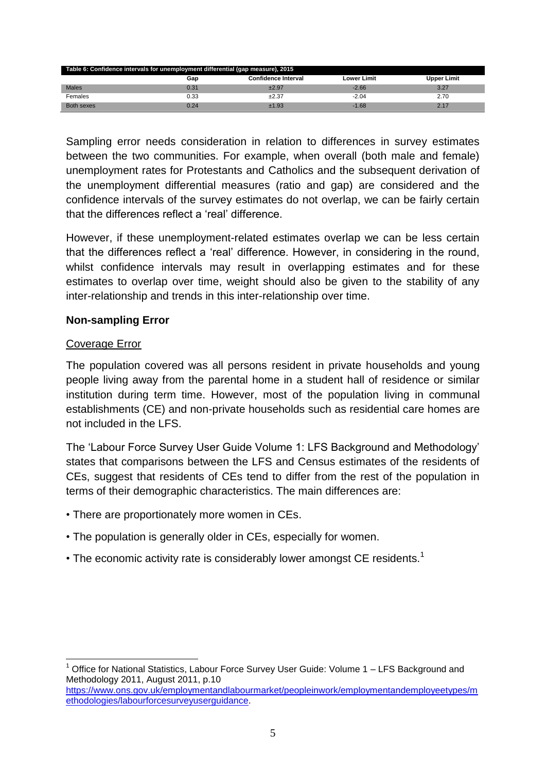| Table 6: Confidence intervals for unemployment differential (gap measure), 2015 |      |         |         |      |  |  |  |
|---------------------------------------------------------------------------------|------|---------|---------|------|--|--|--|
| <b>Confidence Interval</b><br><b>Upper Limit</b><br>Lower Limit<br>Gap          |      |         |         |      |  |  |  |
| <b>Males</b>                                                                    | 0.31 | $+2.97$ | $-2.66$ | 3.27 |  |  |  |
| Females                                                                         | 0.33 | ±2.37   | $-2.04$ | 2.70 |  |  |  |
| Both sexes                                                                      | 0.24 | ±1.93   | $-1.68$ |      |  |  |  |

Sampling error needs consideration in relation to differences in survey estimates between the two communities. For example, when overall (both male and female) unemployment rates for Protestants and Catholics and the subsequent derivation of the unemployment differential measures (ratio and gap) are considered and the confidence intervals of the survey estimates do not overlap, we can be fairly certain that the differences reflect a 'real' difference.

However, if these unemployment-related estimates overlap we can be less certain that the differences reflect a 'real' difference. However, in considering in the round, whilst confidence intervals may result in overlapping estimates and for these estimates to overlap over time, weight should also be given to the stability of any inter-relationship and trends in this inter-relationship over time.

#### **Non-sampling Error**

#### Coverage Error

The population covered was all persons resident in private households and young people living away from the parental home in a student hall of residence or similar institution during term time. However, most of the population living in communal establishments (CE) and non-private households such as residential care homes are not included in the LFS.

The 'Labour Force Survey User Guide Volume 1: LFS Background and Methodology' states that comparisons between the LFS and Census estimates of the residents of CEs, suggest that residents of CEs tend to differ from the rest of the population in terms of their demographic characteristics. The main differences are:

- There are proportionately more women in CEs.
- The population is generally older in CEs, especially for women.
- The economic activity rate is considerably lower amongst CE residents.<sup>1</sup>

**<sup>.</sup>** <sup>1</sup> Office for National Statistics, Labour Force Survey User Guide: Volume 1 – LFS Background and Methodology 2011, August 2011, p.10

[https://www.ons.gov.uk/employmentandlabourmarket/peopleinwork/employmentandemployeetypes/m](https://www.ons.gov.uk/employmentandlabourmarket/peopleinwork/employmentandemployeetypes/methodologies/labourforcesurveyuserguidance) [ethodologies/labourforcesurveyuserguidance.](https://www.ons.gov.uk/employmentandlabourmarket/peopleinwork/employmentandemployeetypes/methodologies/labourforcesurveyuserguidance)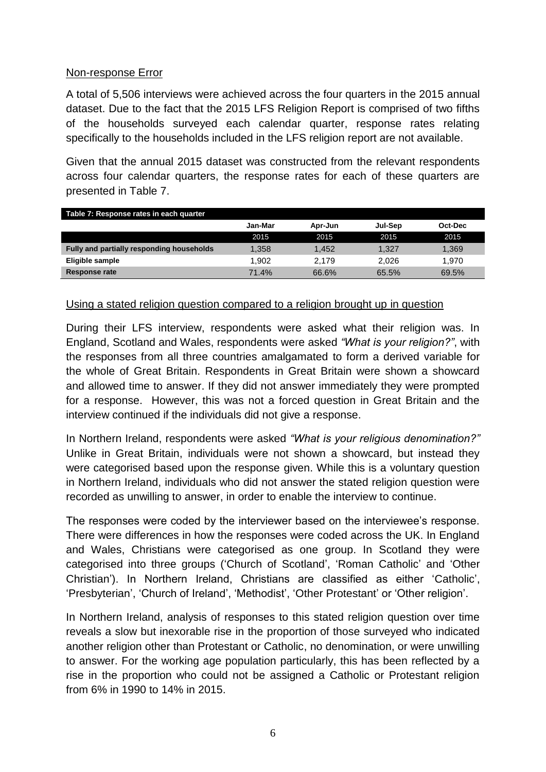#### Non-response Error

A total of 5,506 interviews were achieved across the four quarters in the 2015 annual dataset. Due to the fact that the 2015 LFS Religion Report is comprised of two fifths of the households surveyed each calendar quarter, response rates relating specifically to the households included in the LFS religion report are not available.

Given that the annual 2015 dataset was constructed from the relevant respondents across four calendar quarters, the response rates for each of these quarters are presented in Table 7.

| Table 7: Response rates in each quarter   |         |         |         |         |  |  |  |
|-------------------------------------------|---------|---------|---------|---------|--|--|--|
|                                           | Jan-Mar | Apr-Jun | Jul-Sep | Oct-Dec |  |  |  |
|                                           | 2015    | 2015    | 2015    | 2015    |  |  |  |
| Fully and partially responding households | 1.358   | 1.452   | 1.327   | 1,369   |  |  |  |
| Eligible sample                           | 1.902   | 2.179   | 2.026   | 1.970   |  |  |  |
| Response rate                             | 71.4%   | 66.6%   | 65.5%   | 69.5%   |  |  |  |

#### Using a stated religion question compared to a religion brought up in question

During their LFS interview, respondents were asked what their religion was. In England, Scotland and Wales, respondents were asked *"What is your religion?"*, with the responses from all three countries amalgamated to form a derived variable for the whole of Great Britain. Respondents in Great Britain were shown a showcard and allowed time to answer. If they did not answer immediately they were prompted for a response. However, this was not a forced question in Great Britain and the interview continued if the individuals did not give a response.

In Northern Ireland, respondents were asked *"What is your religious denomination?"* Unlike in Great Britain, individuals were not shown a showcard, but instead they were categorised based upon the response given. While this is a voluntary question in Northern Ireland, individuals who did not answer the stated religion question were recorded as unwilling to answer, in order to enable the interview to continue.

The responses were coded by the interviewer based on the interviewee's response. There were differences in how the responses were coded across the UK. In England and Wales, Christians were categorised as one group. In Scotland they were categorised into three groups ('Church of Scotland', 'Roman Catholic' and 'Other Christian'). In Northern Ireland, Christians are classified as either 'Catholic', 'Presbyterian', 'Church of Ireland', 'Methodist', 'Other Protestant' or 'Other religion'.

In Northern Ireland, analysis of responses to this stated religion question over time reveals a slow but inexorable rise in the proportion of those surveyed who indicated another religion other than Protestant or Catholic, no denomination, or were unwilling to answer. For the working age population particularly, this has been reflected by a rise in the proportion who could not be assigned a Catholic or Protestant religion from 6% in 1990 to 14% in 2015.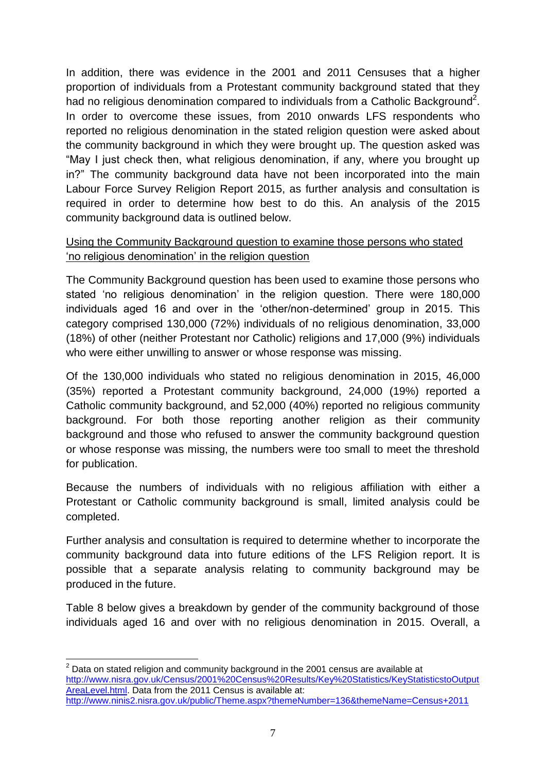In addition, there was evidence in the 2001 and 2011 Censuses that a higher proportion of individuals from a Protestant community background stated that they had no religious denomination compared to individuals from a Catholic Background<sup>2</sup>. In order to overcome these issues, from 2010 onwards LFS respondents who reported no religious denomination in the stated religion question were asked about the community background in which they were brought up. The question asked was "May I just check then, what religious denomination, if any, where you brought up in?" The community background data have not been incorporated into the main Labour Force Survey Religion Report 2015, as further analysis and consultation is required in order to determine how best to do this. An analysis of the 2015 community background data is outlined below.

#### Using the Community Background question to examine those persons who stated 'no religious denomination' in the religion question

The Community Background question has been used to examine those persons who stated 'no religious denomination' in the religion question. There were 180,000 individuals aged 16 and over in the 'other/non-determined' group in 2015. This category comprised 130,000 (72%) individuals of no religious denomination, 33,000 (18%) of other (neither Protestant nor Catholic) religions and 17,000 (9%) individuals who were either unwilling to answer or whose response was missing.

Of the 130,000 individuals who stated no religious denomination in 2015, 46,000 (35%) reported a Protestant community background, 24,000 (19%) reported a Catholic community background, and 52,000 (40%) reported no religious community background. For both those reporting another religion as their community background and those who refused to answer the community background question or whose response was missing, the numbers were too small to meet the threshold for publication.

Because the numbers of individuals with no religious affiliation with either a Protestant or Catholic community background is small, limited analysis could be completed.

Further analysis and consultation is required to determine whether to incorporate the community background data into future editions of the LFS Religion report. It is possible that a separate analysis relating to community background may be produced in the future.

Table 8 below gives a breakdown by gender of the community background of those individuals aged 16 and over with no religious denomination in 2015. Overall, a

**<sup>.</sup>**  $2$  Data on stated religion and community background in the 2001 census are available at [http://www.nisra.gov.uk/Census/2001%20Census%20Results/Key%20Statistics/KeyStatisticstoOutput](http://www.nisra.gov.uk/Census/2001%20Census%20Results/Key%20Statistics/KeyStatisticstoOutputAreaLevel.html) [AreaLevel.html.](http://www.nisra.gov.uk/Census/2001%20Census%20Results/Key%20Statistics/KeyStatisticstoOutputAreaLevel.html) Data from the 2011 Census is available at: <http://www.ninis2.nisra.gov.uk/public/Theme.aspx?themeNumber=136&themeName=Census+2011>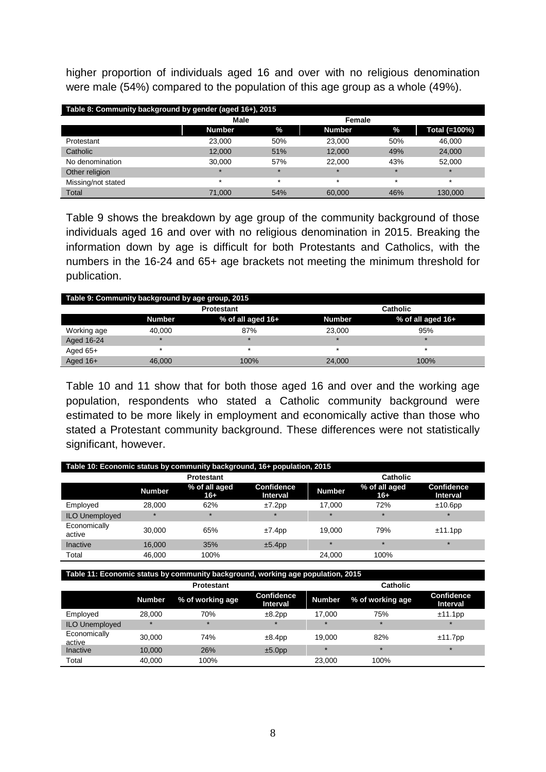higher proportion of individuals aged 16 and over with no religious denomination were male (54%) compared to the population of this age group as a whole (49%).

| Table 8: Community background by gender (aged 16+), 2015 |               |         |               |         |               |  |  |
|----------------------------------------------------------|---------------|---------|---------------|---------|---------------|--|--|
|                                                          | Male          |         | Female        |         |               |  |  |
|                                                          | <b>Number</b> | $\%$    | <b>Number</b> | $\%$    | Total (=100%) |  |  |
| Protestant                                               | 23.000        | 50%     | 23,000        | 50%     | 46.000        |  |  |
| Catholic                                                 | 12.000        | 51%     | 12.000        | 49%     | 24,000        |  |  |
| No denomination                                          | 30.000        | 57%     | 22,000        | 43%     | 52,000        |  |  |
| Other religion                                           | $\star$       | $\star$ | $\star$       | $\star$ | $\star$       |  |  |
| Missing/not stated                                       | $\star$       | $\star$ | $\star$       | $\star$ | $\star$       |  |  |
| Total                                                    | 71,000        | 54%     | 60,000        | 46%     | 130.000       |  |  |

Table 9 shows the breakdown by age group of the community background of those individuals aged 16 and over with no religious denomination in 2015. Breaking the information down by age is difficult for both Protestants and Catholics, with the numbers in the 16-24 and 65+ age brackets not meeting the minimum threshold for publication.

| Table 9: Community background by age group, 2015 |               |                   |               |                   |  |  |
|--------------------------------------------------|---------------|-------------------|---------------|-------------------|--|--|
|                                                  |               | <b>Protestant</b> |               | Catholic          |  |  |
|                                                  | <b>Number</b> | % of all aged 16+ | <b>Number</b> | % of all aged 16+ |  |  |
| Working age                                      | 40.000        | 87%               | 23.000        | 95%               |  |  |
| Aged 16-24                                       | $\star$       |                   | $\star$       | ÷                 |  |  |
| Aged $65+$                                       |               |                   |               |                   |  |  |
| Aged $16+$                                       | 46,000        | 100%              | 24.000        | 100%              |  |  |

Table 10 and 11 show that for both those aged 16 and over and the working age population, respondents who stated a Catholic community background were estimated to be more likely in employment and economically active than those who stated a Protestant community background. These differences were not statistically significant, however.

| Table 10: Economic status by community background, 16+ population, 2015 |                   |                        |                               |               |                        |                                      |  |
|-------------------------------------------------------------------------|-------------------|------------------------|-------------------------------|---------------|------------------------|--------------------------------------|--|
|                                                                         | <b>Protestant</b> |                        |                               |               | <b>Catholic</b>        |                                      |  |
|                                                                         | <b>Number</b>     | % of all aged<br>$16+$ | <b>Confidence</b><br>Interval | <b>Number</b> | % of all aged<br>$16+$ | <b>Confidence</b><br><b>Interval</b> |  |
| Employed                                                                | 28,000            | 62%                    | $±7.2$ pp                     | 17.000        | 72%                    | $±10.6$ pp                           |  |
| <b>ILO Unemployed</b>                                                   | $\star$           | $\star$                | $\star$                       | $\star$       | $\star$                | $\star$                              |  |
| Economically<br>active                                                  | 30.000            | 65%                    | $±7.4$ pp                     | 19.000        | 79%                    | ±11.1pp                              |  |
| Inactive                                                                | 16,000            | 35%                    | ±5.4pp                        | $\star$       | $\star$                | $\star$                              |  |
| Total                                                                   | 46.000            | 100%                   |                               | 24.000        | 100%                   |                                      |  |

**Table 11: Economic status by community background, working age population, 2015**

|                        | <b>Protestant</b> |                  |                        | <b>Catholic</b> |                  |                        |
|------------------------|-------------------|------------------|------------------------|-----------------|------------------|------------------------|
|                        | <b>Number</b>     | % of working age | Confidence<br>Interval | <b>Number</b>   | % of working age | Confidence<br>Interval |
| Employed               | 28.000            | 70%              | ±8.2pp                 | 17.000          | 75%              | ±11.1pp                |
| <b>ILO Unemployed</b>  | $\star$           | $\star$          | $\star$                | $\star$         | $\star$          | $\star$                |
| Economically<br>active | 30.000            | 74%              | ±8.4pp                 | 19.000          | 82%              | $±11.7$ pp             |
| Inactive               | 10.000            | 26%              | ±5.0pp                 | $\star$         | $\star$          | $\star$                |
| Total                  | 40.000            | 100%             |                        | 23,000          | 100%             |                        |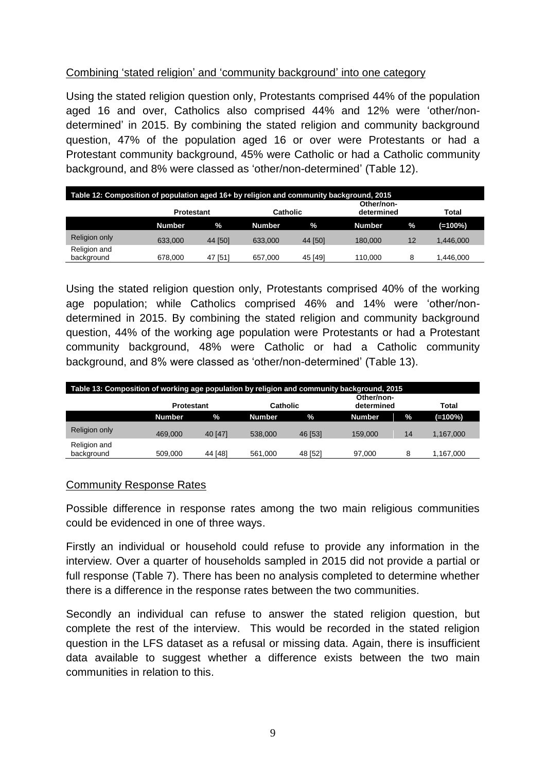#### Combining 'stated religion' and 'community background' into one category

Using the stated religion question only, Protestants comprised 44% of the population aged 16 and over, Catholics also comprised 44% and 12% were 'other/nondetermined' in 2015. By combining the stated religion and community background question, 47% of the population aged 16 or over were Protestants or had a Protestant community background, 45% were Catholic or had a Catholic community background, and 8% were classed as 'other/non-determined' (Table 12).

| Table 12: Composition of population aged 16+ by religion and community background, 2015 |                   |         |                 |         |                          |      |            |
|-----------------------------------------------------------------------------------------|-------------------|---------|-----------------|---------|--------------------------|------|------------|
|                                                                                         | <b>Protestant</b> |         | <b>Catholic</b> |         | Other/non-<br>determined |      | Total      |
|                                                                                         | <b>Number</b>     | $\%$    | <b>Number</b>   | $\%$    | <b>Number</b>            | $\%$ | $(=100\%)$ |
| <b>Religion only</b>                                                                    | 633.000           | 44 [50] | 633,000         | 44 [50] | 180,000                  | 12   | 1.446.000  |
| Religion and<br>background                                                              | 678,000           | 47 [51] | 657.000         | 45 [49] | 110.000                  | 8    | .446.000   |

Using the stated religion question only, Protestants comprised 40% of the working age population; while Catholics comprised 46% and 14% were 'other/nondetermined in 2015. By combining the stated religion and community background question, 44% of the working age population were Protestants or had a Protestant community background, 48% were Catholic or had a Catholic community background, and 8% were classed as 'other/non-determined' (Table 13).

| Table 13: Composition of working age population by religion and community background, 2015 |                   |         |                 |         |                          |    |           |  |
|--------------------------------------------------------------------------------------------|-------------------|---------|-----------------|---------|--------------------------|----|-----------|--|
|                                                                                            | <b>Protestant</b> |         | <b>Catholic</b> |         | Other/non-<br>determined |    | Total     |  |
|                                                                                            | <b>Number</b>     | $\%$    | <b>Number</b>   | $\%$    | <b>Number</b>            | %  | (=100%)   |  |
| Religion only                                                                              | 469.000           | 40 [47] | 538,000         | 46 [53] | 159,000                  | 14 | 1.167.000 |  |
| Religion and<br>background                                                                 | 509.000           | 44 [48] | 561.000         | 48 [52] | 97.000                   | 8  | 1,167,000 |  |

#### Community Response Rates

Possible difference in response rates among the two main religious communities could be evidenced in one of three ways.

Firstly an individual or household could refuse to provide any information in the interview. Over a quarter of households sampled in 2015 did not provide a partial or full response (Table 7). There has been no analysis completed to determine whether there is a difference in the response rates between the two communities.

Secondly an individual can refuse to answer the stated religion question, but complete the rest of the interview. This would be recorded in the stated religion question in the LFS dataset as a refusal or missing data. Again, there is insufficient data available to suggest whether a difference exists between the two main communities in relation to this.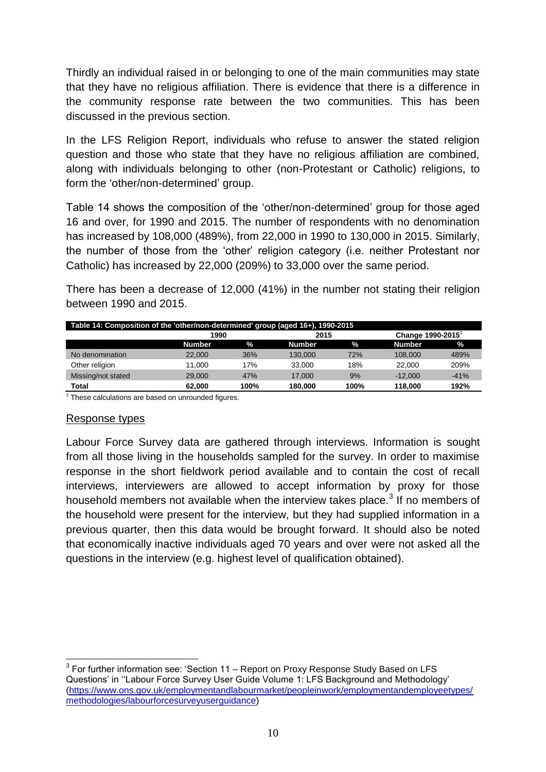Thirdly an individual raised in or belonging to one of the main communities may state that they have no religious affiliation. There is evidence that there is a difference in the community response rate between the two communities. This has been discussed in the previous section.

In the LFS Religion Report, individuals who refuse to answer the stated religion question and those who state that they have no religious affiliation are combined, along with individuals belonging to other (non-Protestant or Catholic) religions, to form the 'other/non-determined' group.

Table 14 shows the composition of the 'other/non-determined' group for those aged 16 and over, for 1990 and 2015. The number of respondents with no denomination has increased by 108,000 (489%), from 22,000 in 1990 to 130,000 in 2015. Similarly, the number of those from the 'other' religion category (i.e. neither Protestant nor Catholic) has increased by 22,000 (209%) to 33,000 over the same period.

There has been a decrease of 12,000 (41%) in the number not stating their religion between 1990 and 2015.

| Table 14: Composition of the 'other/non-determined' group (aged 16+), 1990-2015 |               |      |               |      |               |                  |  |
|---------------------------------------------------------------------------------|---------------|------|---------------|------|---------------|------------------|--|
|                                                                                 |               | 1990 |               | 2015 |               | Change 1990-2015 |  |
|                                                                                 | <b>Number</b> | $\%$ | <b>Number</b> | $\%$ | <b>Number</b> | $\mathcal{A}$    |  |
| No denomination                                                                 | 22,000        | 36%  | 130,000       | 72%  | 108,000       | 489%             |  |
| Other religion                                                                  | 11.000        | 17%  | 33,000        | 18%  | 22,000        | 209%             |  |
| Missing/not stated                                                              | 29,000        | 47%  | 17.000        | 9%   | $-12.000$     | $-41%$           |  |
| Total                                                                           | 62.000        | 100% | 180,000       | 100% | 118,000       | 192%             |  |

<sup>1</sup> These calculations are based on unrounded figures.

#### Response types

Labour Force Survey data are gathered through interviews. Information is sought from all those living in the households sampled for the survey. In order to maximise response in the short fieldwork period available and to contain the cost of recall interviews, interviewers are allowed to accept information by proxy for those household members not available when the interview takes place.<sup>3</sup> If no members of the household were present for the interview, but they had supplied information in a previous quarter, then this data would be brought forward. It should also be noted that economically inactive individuals aged 70 years and over were not asked all the questions in the interview (e.g. highest level of qualification obtained).

 3 For further information see: 'Section 11 – Report on Proxy Response Study Based on LFS Questions' in ''Labour Force Survey User Guide Volume 1: LFS Background and Methodology' [\(https://www.ons.gov.uk/employmentandlabourmarket/peopleinwork/employmentandemployeetypes/](https://www.ons.gov.uk/employmentandlabourmarket/peopleinwork/employmentandemployeetypes/methodologies/labourforcesurveyuserguidance) [methodologies/labourforcesurveyuserguidance\)](https://www.ons.gov.uk/employmentandlabourmarket/peopleinwork/employmentandemployeetypes/methodologies/labourforcesurveyuserguidance)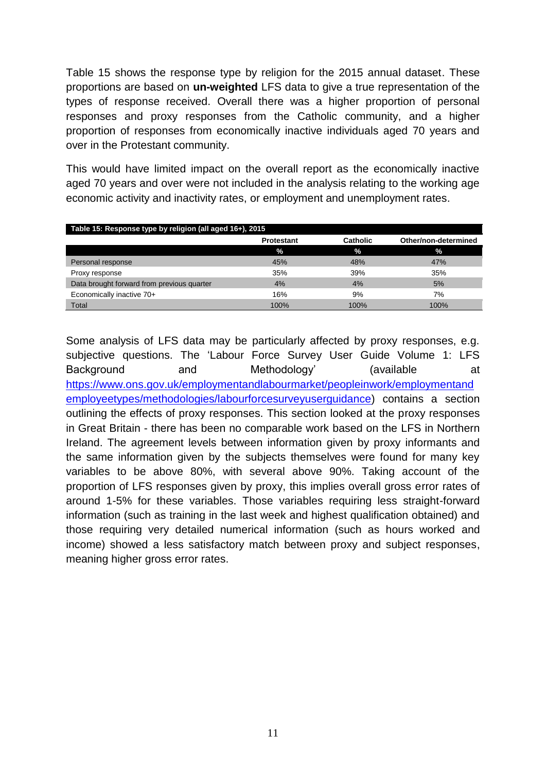Table 15 shows the response type by religion for the 2015 annual dataset. These proportions are based on **un-weighted** LFS data to give a true representation of the types of response received. Overall there was a higher proportion of personal responses and proxy responses from the Catholic community, and a higher proportion of responses from economically inactive individuals aged 70 years and over in the Protestant community.

This would have limited impact on the overall report as the economically inactive aged 70 years and over were not included in the analysis relating to the working age economic activity and inactivity rates, or employment and unemployment rates.

| Table 15: Response type by religion (all aged 16+), 2015 |                   |                 |                      |  |
|----------------------------------------------------------|-------------------|-----------------|----------------------|--|
|                                                          | <b>Protestant</b> | <b>Catholic</b> | Other/non-determined |  |
|                                                          | $\frac{9}{6}$     | $\%$            | $\frac{9}{6}$        |  |
| Personal response                                        | 45%               | 48%             | 47%                  |  |
| Proxy response                                           | 35%               | 39%             | 35%                  |  |
| Data brought forward from previous quarter               | 4%                | 4%              | 5%                   |  |
| Economically inactive 70+                                | 16%               | 9%              | 7%                   |  |
| Total                                                    | 100%              | 100%            | 100%                 |  |

Some analysis of LFS data may be particularly affected by proxy responses, e.g. subjective questions. The 'Labour Force Survey User Guide Volume 1: LFS Background and Methodology' (available at [https://www.ons.gov.uk/employmentandlabourmarket/peopleinwork/employmentand](https://www.ons.gov.uk/employmentandlabourmarket/peopleinwork/employmentandemployeetypes/methodologies/labourforcesurveyuserguidance) [employeetypes/methodologies/labourforcesurveyuserguidance\)](https://www.ons.gov.uk/employmentandlabourmarket/peopleinwork/employmentandemployeetypes/methodologies/labourforcesurveyuserguidance) contains a section outlining the effects of proxy responses. This section looked at the proxy responses in Great Britain - there has been no comparable work based on the LFS in Northern Ireland. The agreement levels between information given by proxy informants and the same information given by the subjects themselves were found for many key variables to be above 80%, with several above 90%. Taking account of the proportion of LFS responses given by proxy, this implies overall gross error rates of around 1-5% for these variables. Those variables requiring less straight-forward information (such as training in the last week and highest qualification obtained) and those requiring very detailed numerical information (such as hours worked and income) showed a less satisfactory match between proxy and subject responses, meaning higher gross error rates.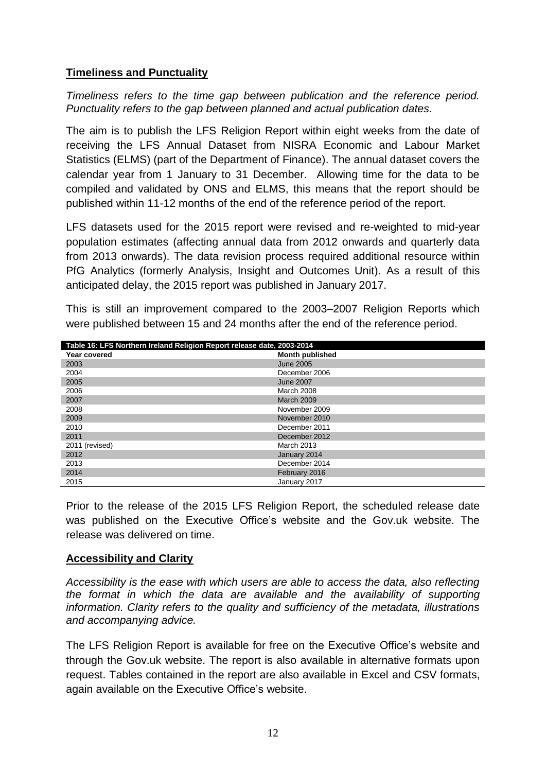#### <span id="page-12-0"></span>**Timeliness and Punctuality**

*Timeliness refers to the time gap between publication and the reference period. Punctuality refers to the gap between planned and actual publication dates.*

The aim is to publish the LFS Religion Report within eight weeks from the date of receiving the LFS Annual Dataset from NISRA Economic and Labour Market Statistics (ELMS) (part of the Department of Finance). The annual dataset covers the calendar year from 1 January to 31 December. Allowing time for the data to be compiled and validated by ONS and ELMS, this means that the report should be published within 11-12 months of the end of the reference period of the report.

LFS datasets used for the 2015 report were revised and re-weighted to mid-year population estimates (affecting annual data from 2012 onwards and quarterly data from 2013 onwards). The data revision process required additional resource within PfG Analytics (formerly Analysis, Insight and Outcomes Unit). As a result of this anticipated delay, the 2015 report was published in January 2017.

This is still an improvement compared to the 2003–2007 Religion Reports which were published between 15 and 24 months after the end of the reference period.

| Table 16: LFS Northern Ireland Religion Report release date, 2003-2014 |                        |  |  |  |
|------------------------------------------------------------------------|------------------------|--|--|--|
| Year covered                                                           | <b>Month published</b> |  |  |  |
| 2003                                                                   | June 2005              |  |  |  |
| 2004                                                                   | December 2006          |  |  |  |
| 2005                                                                   | <b>June 2007</b>       |  |  |  |
| 2006                                                                   | March 2008             |  |  |  |
| 2007                                                                   | <b>March 2009</b>      |  |  |  |
| 2008                                                                   | November 2009          |  |  |  |
| 2009                                                                   | November 2010          |  |  |  |
| 2010                                                                   | December 2011          |  |  |  |
| 2011                                                                   | December 2012          |  |  |  |
| 2011 (revised)                                                         | March 2013             |  |  |  |
| 2012                                                                   | January 2014           |  |  |  |
| 2013                                                                   | December 2014          |  |  |  |
| 2014                                                                   | February 2016          |  |  |  |
| 2015                                                                   | January 2017           |  |  |  |

Prior to the release of the 2015 LFS Religion Report, the scheduled release date was published on the Executive Office's website and the Gov.uk website. The release was delivered on time.

#### <span id="page-12-1"></span>**Accessibility and Clarity**

*Accessibility is the ease with which users are able to access the data, also reflecting the format in which the data are available and the availability of supporting information. Clarity refers to the quality and sufficiency of the metadata, illustrations and accompanying advice.* 

The LFS Religion Report is available for free on the Executive Office's website and through the Gov.uk website. The report is also available in alternative formats upon request. Tables contained in the report are also available in Excel and CSV formats, again available on the Executive Office's website.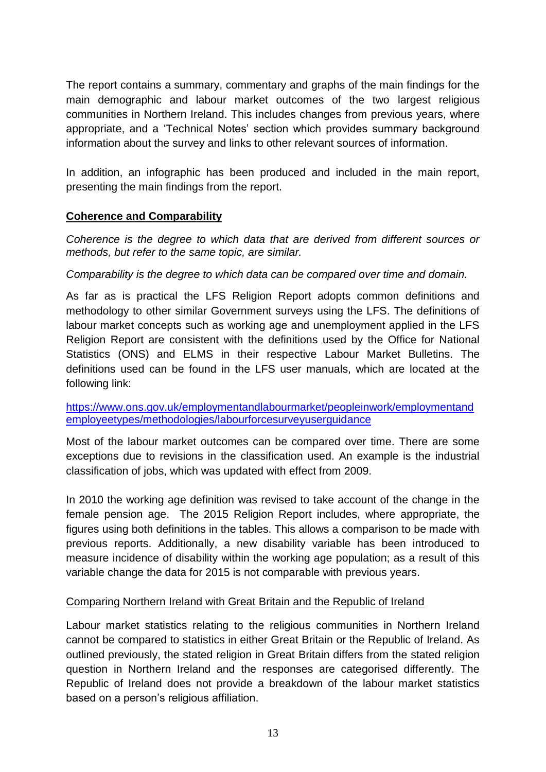The report contains a summary, commentary and graphs of the main findings for the main demographic and labour market outcomes of the two largest religious communities in Northern Ireland. This includes changes from previous years, where appropriate, and a 'Technical Notes' section which provides summary background information about the survey and links to other relevant sources of information.

In addition, an infographic has been produced and included in the main report, presenting the main findings from the report.

#### <span id="page-13-0"></span>**Coherence and Comparability**

*Coherence is the degree to which data that are derived from different sources or methods, but refer to the same topic, are similar.* 

*Comparability is the degree to which data can be compared over time and domain.* 

As far as is practical the LFS Religion Report adopts common definitions and methodology to other similar Government surveys using the LFS. The definitions of labour market concepts such as working age and unemployment applied in the LFS Religion Report are consistent with the definitions used by the Office for National Statistics (ONS) and ELMS in their respective Labour Market Bulletins. The definitions used can be found in the LFS user manuals, which are located at the following link:

[https://www.ons.gov.uk/employmentandlabourmarket/peopleinwork/employmentand](https://www.ons.gov.uk/employmentandlabourmarket/peopleinwork/employmentandemployeetypes/methodologies/labourforcesurveyuserguidance) [employeetypes/methodologies/labourforcesurveyuserguidance](https://www.ons.gov.uk/employmentandlabourmarket/peopleinwork/employmentandemployeetypes/methodologies/labourforcesurveyuserguidance)

Most of the labour market outcomes can be compared over time. There are some exceptions due to revisions in the classification used. An example is the industrial classification of jobs, which was updated with effect from 2009.

In 2010 the working age definition was revised to take account of the change in the female pension age. The 2015 Religion Report includes, where appropriate, the figures using both definitions in the tables. This allows a comparison to be made with previous reports. Additionally, a new disability variable has been introduced to measure incidence of disability within the working age population; as a result of this variable change the data for 2015 is not comparable with previous years.

#### Comparing Northern Ireland with Great Britain and the Republic of Ireland

Labour market statistics relating to the religious communities in Northern Ireland cannot be compared to statistics in either Great Britain or the Republic of Ireland. As outlined previously, the stated religion in Great Britain differs from the stated religion question in Northern Ireland and the responses are categorised differently. The Republic of Ireland does not provide a breakdown of the labour market statistics based on a person's religious affiliation.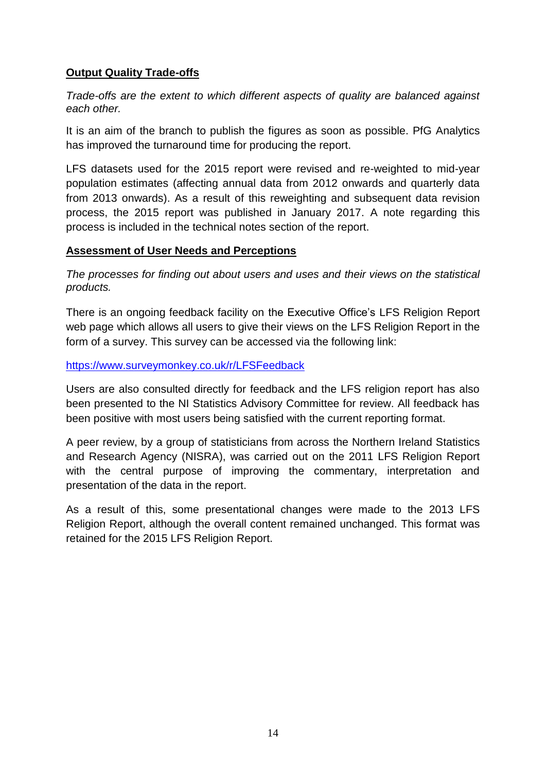### <span id="page-14-0"></span>**Output Quality Trade-offs**

*Trade-offs are the extent to which different aspects of quality are balanced against each other.* 

It is an aim of the branch to publish the figures as soon as possible. PfG Analytics has improved the turnaround time for producing the report.

LFS datasets used for the 2015 report were revised and re-weighted to mid-year population estimates (affecting annual data from 2012 onwards and quarterly data from 2013 onwards). As a result of this reweighting and subsequent data revision process, the 2015 report was published in January 2017. A note regarding this process is included in the technical notes section of the report.

#### <span id="page-14-1"></span>**Assessment of User Needs and Perceptions**

*The processes for finding out about users and uses and their views on the statistical products.*

There is an ongoing feedback facility on the Executive Office's LFS Religion Report web page which allows all users to give their views on the LFS Religion Report in the form of a survey. This survey can be accessed via the following link:

#### <https://www.surveymonkey.co.uk/r/LFSFeedback>

Users are also consulted directly for feedback and the LFS religion report has also been presented to the NI Statistics Advisory Committee for review. All feedback has been positive with most users being satisfied with the current reporting format.

A peer review, by a group of statisticians from across the Northern Ireland Statistics and Research Agency (NISRA), was carried out on the 2011 LFS Religion Report with the central purpose of improving the commentary, interpretation and presentation of the data in the report.

As a result of this, some presentational changes were made to the 2013 LFS Religion Report, although the overall content remained unchanged. This format was retained for the 2015 LFS Religion Report.